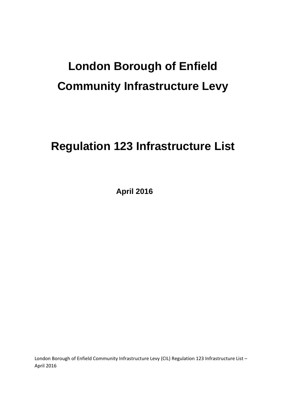# **London Borough of Enfield Community Infrastructure Levy**

## **Regulation 123 Infrastructure List**

**April 2016** 

London Borough of Enfield Community Infrastructure Levy (CIL) Regulation 123 Infrastructure List – April 2016